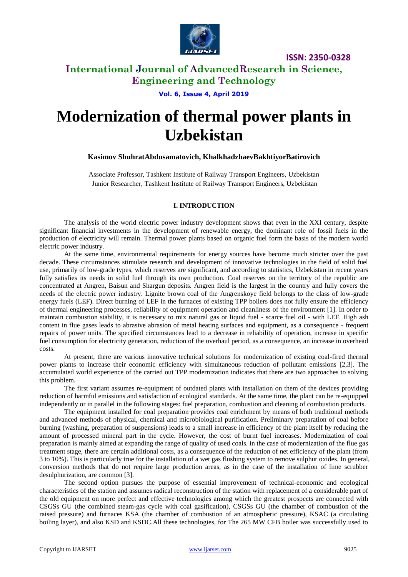

### **International Journal of AdvancedResearch in Science, Engineering and Technology**

**Vol. 6, Issue 4, April 2019**

# **Modernization of thermal power plants in Uzbekistan**

### **Kasimov ShuhratAbdusamatovich, KhalkhadzhaevBakhtiyorBatirovich**

Associate Professor, Tashkent Institute of Railway Transport Engineers, Uzbekistan Junior Researcher, Tashkent Institute of Railway Transport Engineers, Uzbekistan

### **I. INTRODUCTION**

The analysis of the world electric power industry development shows that even in the XXI century, despite significant financial investments in the development of renewable energy, the dominant role of fossil fuels in the production of electricity will remain. Thermal power plants based on organic fuel form the basis of the modern world electric power industry.

At the same time, environmental requirements for energy sources have become much stricter over the past decade. These circumstances stimulate research and development of innovative technologies in the field of solid fuel use, primarily of low-grade types, which reserves are significant, and according to statistics, Uzbekistan in recent years fully satisfies its needs in solid fuel through its own production. Coal reserves on the territory of the republic are concentrated at Angren, Baisun and Shargun deposits. Angren field is the largest in the country and fully covers the needs of the electric power industry. Lignite brown coal of the Angrenskoye field belongs to the class of low-grade energy fuels (LEF). Direct burning of LEF in the furnaces of existing TPP boilers does not fully ensure the efficiency of thermal engineering processes, reliability of equipment operation and cleanliness of the environment [1]. In order to maintain combustion stability, it is necessary to mix natural gas or liquid fuel - scarce fuel oil - with LEF. High ash content in flue gases leads to abrasive abrasion of metal heating surfaces and equipment, as a consequence - frequent repairs of power units. The specified circumstances lead to a decrease in reliability of operation, increase in specific fuel consumption for electricity generation, reduction of the overhaul period, as a consequence, an increase in overhead costs.

At present, there are various innovative technical solutions for modernization of existing coal-fired thermal power plants to increase their economic efficiency with simultaneous reduction of pollutant emissions [2,3]. The accumulated world experience of the carried out TPP modernization indicates that there are two approaches to solving this problem.

The first variant assumes re-equipment of outdated plants with installation on them of the devices providing reduction of harmful emissions and satisfaction of ecological standards. At the same time, the plant can be re-equipped independently or in parallel in the following stages: fuel preparation, combustion and cleaning of combustion products.

The equipment installed for coal preparation provides coal enrichment by means of both traditional methods and advanced methods of physical, chemical and microbiological purification. Preliminary preparation of coal before burning (washing, preparation of suspensions) leads to a small increase in efficiency of the plant itself by reducing the amount of processed mineral part in the cycle. However, the cost of burnt fuel increases. Modernization of coal preparation is mainly aimed at expanding the range of quality of used coals. in the case of modernization of the flue gas treatment stage, there are certain additional costs, as a consequence of the reduction of net efficiency of the plant (from 3 to 10%). This is particularly true for the installation of a wet gas flushing system to remove sulphur oxides. In general, conversion methods that do not require large production areas, as in the case of the installation of lime scrubber desulphurization, are common [3].

The second option pursues the purpose of essential improvement of technical-economic and ecological characteristics of the station and assumes radical reconstruction of the station with replacement of a considerable part of the old equipment on more perfect and effective technologies among which the greatest prospects are connected with CSGSs GU (the combined steam-gas cycle with coal gasification), CSGSs GU (the chamber of combustion of the raised pressure) and furnaces KSA (the chamber of combustion of an atmospheric pressure), KSAC (a circulating boiling layer), and also KSD and KSDC.All these technologies, for The 265 MW CFB boiler was successfully used to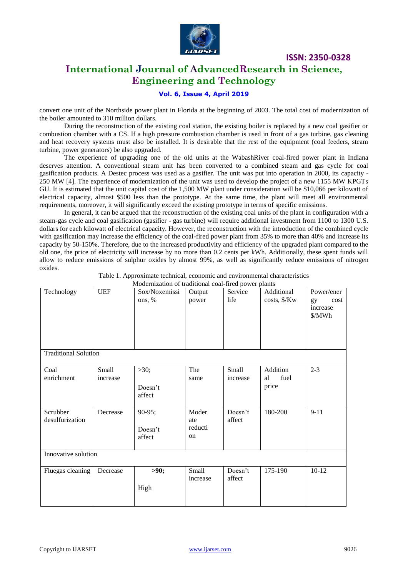

# **International Journal of AdvancedResearch in Science, Engineering and Technology**

### **Vol. 6, Issue 4, April 2019**

convert one unit of the Northside power plant in Florida at the beginning of 2003. The total cost of modernization of the boiler amounted to 310 million dollars.

During the reconstruction of the existing coal station, the existing boiler is replaced by a new coal gasifier or combustion chamber with a CS. If a high pressure combustion chamber is used in front of a gas turbine, gas cleaning and heat recovery systems must also be installed. It is desirable that the rest of the equipment (coal feeders, steam turbine, power generators) be also upgraded.

The experience of upgrading one of the old units at the WabashRiver coal-fired power plant in Indiana deserves attention. A conventional steam unit has been converted to a combined steam and gas cycle for coal gasification products. A Destec process was used as a gasifier. The unit was put into operation in 2000, its capacity - 250 MW [4]. The experience of modernization of the unit was used to develop the project of a new 1155 MW KPGTs GU. It is estimated that the unit capital cost of the 1,500 MW plant under consideration will be \$10,066 per kilowatt of electrical capacity, almost \$500 less than the prototype. At the same time, the plant will meet all environmental requirements, moreover, it will significantly exceed the existing prototype in terms of specific emissions.

In general, it can be argued that the reconstruction of the existing coal units of the plant in configuration with a steam-gas cycle and coal gasification (gasifier - gas turbine) will require additional investment from 1100 to 1300 U.S. dollars for each kilowatt of electrical capacity. However, the reconstruction with the introduction of the combined cycle with gasification may increase the efficiency of the coal-fired power plant from 35% to more than 40% and increase its capacity by 50-150%. Therefore, due to the increased productivity and efficiency of the upgraded plant compared to the old one, the price of electricity will increase by no more than 0.2 cents per kWh. Additionally, these spent funds will allow to reduce emissions of sulphur oxides by almost 99%, as well as significantly reduce emissions of nitrogen oxides.

| Technology                  | <b>UEF</b>        | Modernization of traditional coal fired power plants<br>Sox/Noxemissi<br>ons, % | Output<br>power               | Service<br>life   | Additional<br>costs, \$/Kw      | Power/ener<br>cost<br>gy<br>increase<br>\$/MWh |  |  |  |  |  |
|-----------------------------|-------------------|---------------------------------------------------------------------------------|-------------------------------|-------------------|---------------------------------|------------------------------------------------|--|--|--|--|--|
| <b>Traditional Solution</b> |                   |                                                                                 |                               |                   |                                 |                                                |  |  |  |  |  |
| Coal<br>enrichment          | Small<br>increase | >30;<br>Doesn't<br>affect                                                       | The<br>same                   | Small<br>increase | Addition<br>fuel<br>al<br>price | $2 - 3$                                        |  |  |  |  |  |
| Scrubber<br>desulfurization | Decrease          | $90-95;$<br>Doesn't<br>affect                                                   | Moder<br>ate<br>reducti<br>on | Doesn't<br>affect | 180-200                         | $9 - 11$                                       |  |  |  |  |  |
| Innovative solution         |                   |                                                                                 |                               |                   |                                 |                                                |  |  |  |  |  |
| Fluegas cleaning            | Decrease          | >90;<br>High                                                                    | Small<br>increase             | Doesn't<br>affect | 175-190                         | $10-12$                                        |  |  |  |  |  |

Table 1. Approximate technical, economic and environmental characteristics Modernization of traditional coal-fired power plants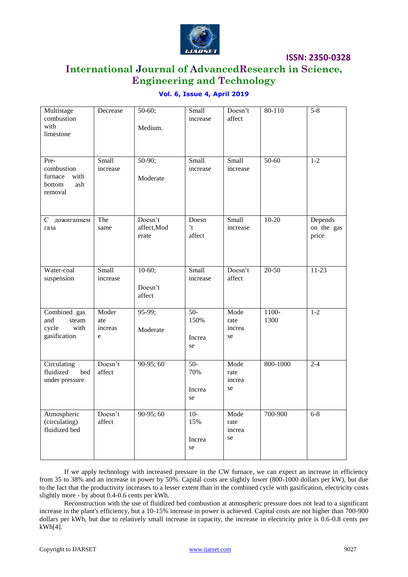

# **International Journal of AdvancedResearch in Science, Engineering and Technology**

### **Vol. 6, Issue 4, April 2019**

| Multistage<br>combustion<br>with<br>limestone                     | Decrease                     | $50-60;$<br>Medium.             | Small<br>increase             | Doesn't<br>affect            | 80-110           | $5-8$                          |
|-------------------------------------------------------------------|------------------------------|---------------------------------|-------------------------------|------------------------------|------------------|--------------------------------|
| Pre-<br>combustion<br>with<br>furnace<br>bottom<br>ash<br>removal | Small<br>increase            | $50-90;$<br>Moderate            | Small<br>increase             | Small<br>increase            | $50-60$          | $1 - 2$                        |
| дожиганием<br>C<br>газа                                           | The<br>same                  | Doesn't<br>affect, Mod<br>erate | Doesn<br>$\cdot$ t<br>affect  | Small<br>increase            | $10-20$          | Depends<br>on the gas<br>price |
| Water-coal<br>suspension                                          | Small<br>increase            | $10-60;$<br>Doesn't<br>affect   | Small<br>increase             | Doesn't<br>affect            | $20 - 50$        | $11-23$                        |
| Combined gas<br>and<br>steam<br>with<br>cycle<br>gasification     | Moder<br>ate<br>increas<br>e | 95-99;<br>Moderate              | $50-$<br>150%<br>Increa<br>se | Mode<br>rate<br>increa<br>se | $1100 -$<br>1300 | $1 - 2$                        |
| Circulating<br>fluidized<br>bed<br>under pressure                 | Doesn't<br>affect            | $90-95;60$                      | $50-$<br>70%<br>Increa<br>se  | Mode<br>rate<br>increa<br>se | 800-1000         | $2 - 4$                        |
| Atmospheric<br>(circulating)<br>fluidized bed                     | Doesn't<br>affect            | $90-95;60$                      | $10-$<br>15%<br>Increa<br>se  | Mode<br>rate<br>increa<br>se | 700-900          | $6 - 8$                        |

If we apply technology with increased pressure in the CW furnace, we can expect an increase in efficiency from 35 to 38% and an increase in power by 50%. Capital costs are slightly lower (800-1000 dollars per kW), but due to the fact that the productivity increases to a lesser extent than in the combined cycle with gasification, electricity costs slightly more - by about 0.4-0.6 cents per kWh.

Reconstruction with the use of fluidized bed combustion at atmospheric pressure does not lead to a significant increase in the plant's efficiency, but a 10-15% increase in power is achieved. Capital costs are not higher than 700-900 dollars per kWh, but due to relatively small increase in capacity, the increase in electricity price is 0.6-0.8 cents per kWh[4].